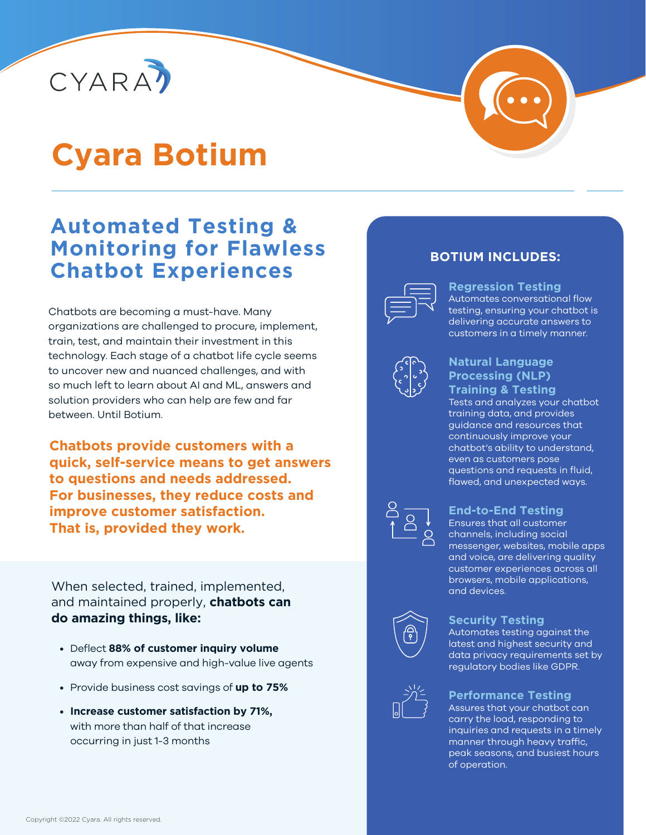

# **Cyara Botium**

# **Automated Testing & Monitoring for Flawless Chatbot Experiences**

Chatbots are becoming a must-have. Many organizations are challenged to procure, implement, train, test, and maintain their investment in this technology. Each stage of a chatbot life cycle seems to uncover new and nuanced challenges, and with so much left to learn about AI and ML, answers and solution providers who can help are few and far between. Until Botium.

**Chatbots provide customers with a quick, self-service means to get answers to questions and needs addressed. For businesses, they reduce costs and improve customer satisfaction. That is, provided they work.** 

When selected, trained, implemented, and maintained properly, **chatbots can do amazing things, like:**

- Deflect **88% of customer inquiry volume** away from expensive and high-value live agents
- Provide business cost savings of **up to 75%**
- **Increase customer satisfaction by 71%,** with more than half of that increase occurring in just 1-3 months

## **BOTIUM INCLUDES:**



#### **Regression Testing** Automates conversational flow testing, ensuring your chatbot is delivering accurate answers to

customers in a timely manner.



#### **Natural Language Processing (NLP) Training & Testing**

Tests and analyzes your chatbot training data, and provides guidance and resources that continuously improve your chatbot's ability to understand, even as customers pose questions and requests in fluid, flawed, and unexpected ways.



#### **End-to-End Testing**

Ensures that all customer channels, including social messenger, websites, mobile apps and voice, are delivering quality customer experiences across all browsers, mobile applications, and devices.



#### **Security Testing**

Automates testing against the latest and highest security and data privacy requirements set by regulatory bodies like GDPR.



#### **Performance Testing**

Assures that your chatbot can carry the load, responding to inquiries and requests in a timely manner through heavy traffic, peak seasons, and busiest hours of operation.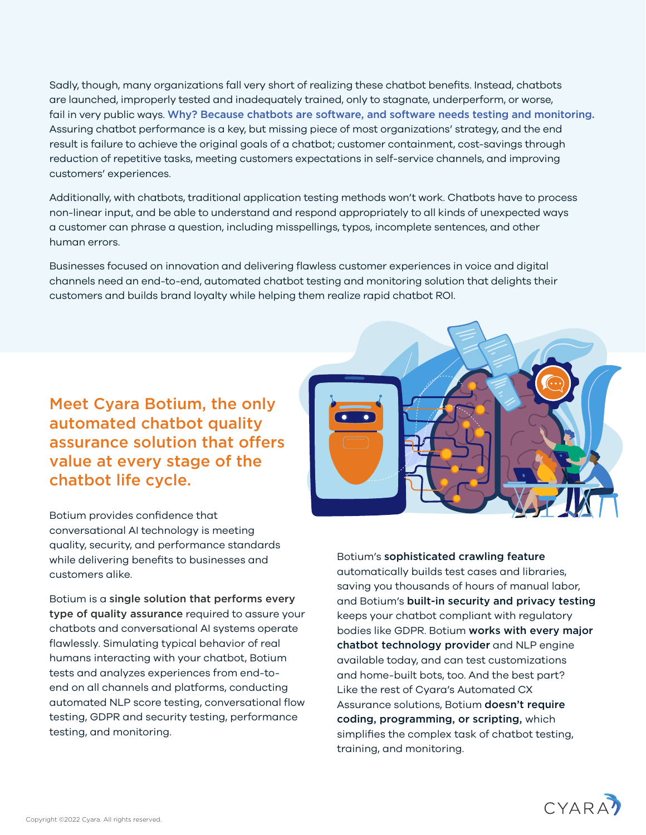Sadly, though, many organizations fall very short of realizing these chatbot benefits. Instead, chatbots are launched, improperly tested and inadequately trained, only to stagnate, underperform, or worse, fail in very public ways. Why? Because chatbots are software, and software needs testing and monitoring. Assuring chatbot performance is a key, but missing piece of most organizations' strategy, and the end result is failure to achieve the original goals of a chatbot; customer containment, cost-savings through reduction of repetitive tasks, meeting customers expectations in self-service channels, and improving customers' experiences.

Additionally, with chatbots, traditional application testing methods won't work. Chatbots have to process non-linear input, and be able to understand and respond appropriately to all kinds of unexpected ways a customer can phrase a question, including misspellings, typos, incomplete sentences, and other human errors.

Businesses focused on innovation and delivering flawless customer experiences in voice and digital channels need an end-to-end, automated chatbot testing and monitoring solution that delights their customers and builds brand loyalty while helping them realize rapid chatbot ROI.

Meet Cyara Botium, the only automated chatbot quality assurance solution that offers value at every stage of the chatbot life cycle.

Botium provides confidence that conversational AI technology is meeting quality, security, and performance standards while delivering benefits to businesses and customers alike.

Botium is a single solution that performs every type of quality assurance required to assure your chatbots and conversational AI systems operate flawlessly. Simulating typical behavior of real humans interacting with your chatbot, Botium tests and analyzes experiences from end-toend on all channels and platforms, conducting automated NLP score testing, conversational flow testing, GDPR and security testing, performance testing, and monitoring.



Botium's sophisticated crawling feature automatically builds test cases and libraries, saving you thousands of hours of manual labor, and Botium's built-in security and privacy testing keeps your chatbot compliant with regulatory bodies like GDPR. Botium works with every major chatbot technology provider and NLP engine available today, and can test customizations and home-built bots, too. And the best part? Like the rest of Cyara's Automated CX Assurance solutions, Botium doesn't require coding, programming, or scripting, which simplifies the complex task of chatbot testing, training, and monitoring.